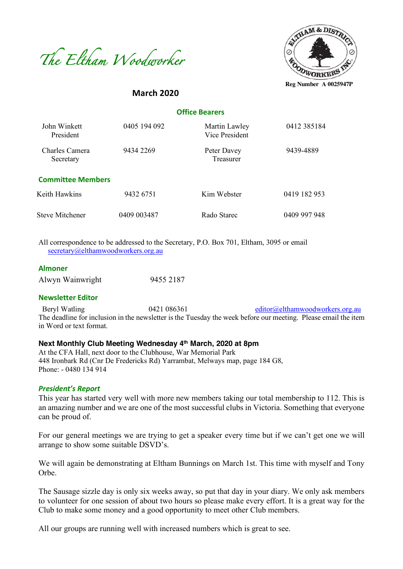



# **Office Bearers**

**March 2020**

| John Winkett<br>President   | 0405 194 092 | Martin Lawley<br>Vice President | 0412 385184  |
|-----------------------------|--------------|---------------------------------|--------------|
| Charles Camera<br>Secretary | 9434 2269    | Peter Davey<br>Treasurer        | 9439-4889    |
| <b>Committee Members</b>    |              |                                 |              |
| Keith Hawkins               | 9432 6751    | Kim Webster                     | 0419 182 953 |
| <b>Steve Mitchener</b>      | 0409 003487  | Rado Starec                     | 0409 997 948 |

All correspondence to be addressed to the Secretary, P.O. Box 701, Eltham, 3095 or email secretary@elthamwoodworkers.org.au

#### **Almoner**

| Alwyn Wainwright | 9455 2187 |
|------------------|-----------|
|------------------|-----------|

#### **Newsletter Editor**

Beryl Watling  $0421\,086361$  editor@elthamwoodworkers.org.au The deadline for inclusion in the newsletter is the Tuesday the week before our meeting. Please email the item in Word or text format.

## **Next Monthly Club Meeting Wednesday 4th March, 2020 at 8pm**

At the CFA Hall, next door to the Clubhouse, War Memorial Park 448 Ironbark Rd (Cnr De Fredericks Rd) Yarrambat, Melways map, page 184 G8, Phone: - 0480 134 914

#### *President's Report*

This year has started very well with more new members taking our total membership to 112. This is an amazing number and we are one of the most successful clubs in Victoria. Something that everyone can be proud of.

For our general meetings we are trying to get a speaker every time but if we can't get one we will arrange to show some suitable DSVD's.

We will again be demonstrating at Eltham Bunnings on March 1st. This time with myself and Tony Orbe.

The Sausage sizzle day is only six weeks away, so put that day in your diary. We only ask members to volunteer for one session of about two hours so please make every effort. It is a great way for the Club to make some money and a good opportunity to meet other Club members.

All our groups are running well with increased numbers which is great to see.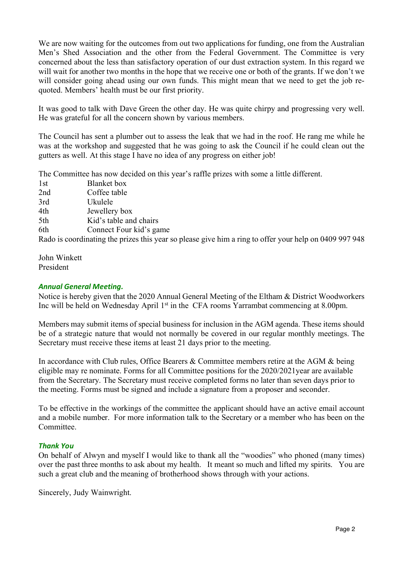We are now waiting for the outcomes from out two applications for funding, one from the Australian Men's Shed Association and the other from the Federal Government. The Committee is very concerned about the less than satisfactory operation of our dust extraction system. In this regard we will wait for another two months in the hope that we receive one or both of the grants. If we don't we will consider going ahead using our own funds. This might mean that we need to get the job requoted. Members' health must be our first priority.

It was good to talk with Dave Green the other day. He was quite chirpy and progressing very well. He was grateful for all the concern shown by various members.

The Council has sent a plumber out to assess the leak that we had in the roof. He rang me while he was at the workshop and suggested that he was going to ask the Council if he could clean out the gutters as well. At this stage I have no idea of any progress on either job!

The Committee has now decided on this year's raffle prizes with some a little different.

| 1st | <b>Blanket</b> box                                                                                     |
|-----|--------------------------------------------------------------------------------------------------------|
| 2nd | Coffee table                                                                                           |
| 3rd | Ukulele                                                                                                |
| 4th | Jewellery box                                                                                          |
| 5th | Kid's table and chairs                                                                                 |
| 6th | Connect Four kid's game                                                                                |
|     | Rado is coordinating the prizes this year so please give him a ring to offer your help on 0409 997 948 |

John Winkett President

## *Annual General Meeting.*

Notice is hereby given that the 2020 Annual General Meeting of the Eltham & District Woodworkers Inc will be held on Wednesday April 1<sup>st</sup> in the CFA rooms Yarrambat commencing at 8.00pm.

Members may submit items of special business for inclusion in the AGM agenda. These items should be of a strategic nature that would not normally be covered in our regular monthly meetings. The Secretary must receive these items at least 21 days prior to the meeting.

In accordance with Club rules, Office Bearers & Committee members retire at the AGM & being eligible may re nominate. Forms for all Committee positions for the 2020/2021year are available from the Secretary. The Secretary must receive completed forms no later than seven days prior to the meeting. Forms must be signed and include a signature from a proposer and seconder.

To be effective in the workings of the committee the applicant should have an active email account and a mobile number. For more information talk to the Secretary or a member who has been on the Committee.

### *Thank You*

On behalf of Alwyn and myself I would like to thank all the "woodies" who phoned (many times) over the past three months to ask about my health. It meant so much and lifted my spirits. You are such a great club and the meaning of brotherhood shows through with your actions.

Sincerely, Judy Wainwright.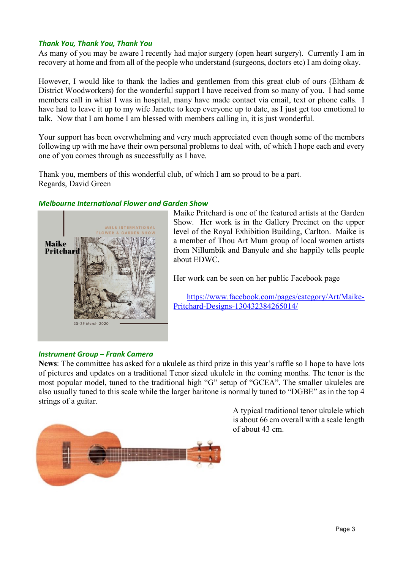## *Thank You, Thank You, Thank You*

As many of you may be aware I recently had major surgery (open heart surgery). Currently I am in recovery at home and from all of the people who understand (surgeons, doctors etc) I am doing okay.

However, I would like to thank the ladies and gentlemen from this great club of ours (Eltham  $\&$ District Woodworkers) for the wonderful support I have received from so many of you. I had some members call in whist I was in hospital, many have made contact via email, text or phone calls. I have had to leave it up to my wife Janette to keep everyone up to date, as I just get too emotional to talk. Now that I am home I am blessed with members calling in, it is just wonderful.

Your support has been overwhelming and very much appreciated even though some of the members following up with me have their own personal problems to deal with, of which I hope each and every one of you comes through as successfully as I have.

Thank you, members of this wonderful club, of which I am so proud to be a part. Regards, David Green

## *Melbourne International Flower and Garden Show*



Maike Pritchard is one of the featured artists at the Garden Show. Her work is in the Gallery Precinct on the upper level of the Royal Exhibition Building, Carlton. Maike is a member of Thou Art Mum group of local women artists from Nillumbik and Banyule and she happily tells people about EDWC.

Her work can be seen on her public Facebook page

https://www.facebook.com/pages/category/Art/Maike-Pritchard-Designs-130432384265014/

### *Instrument Group – Frank Camera*

**News**: The committee has asked for a ukulele as third prize in this year's raffle so I hope to have lots of pictures and updates on a traditional Tenor sized ukulele in the coming months. The tenor is the most popular model, tuned to the traditional high "G" setup of "GCEA". The smaller ukuleles are also usually tuned to this scale while the larger baritone is normally tuned to "DGBE" as in the top 4 strings of a guitar.



A typical traditional tenor ukulele which is about 66 cm overall with a scale length of about 43 cm.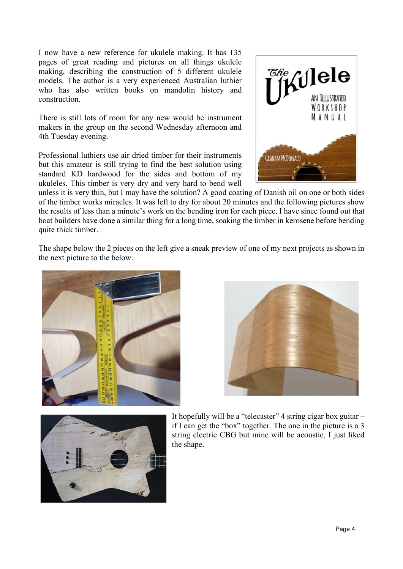I now have a new reference for ukulele making. It has 135 pages of great reading and pictures on all things ukulele making, describing the construction of 5 different ukulele models. The author is a very experienced Australian luthier who has also written books on mandolin history and construction.

There is still lots of room for any new would be instrument makers in the group on the second Wednesday afternoon and 4th Tuesday evening.

Professional luthiers use air dried timber for their instruments but this amateur is still trying to find the best solution using standard KD hardwood for the sides and bottom of my ukuleles. This timber is very dry and very hard to bend well



unless it is very thin, but I may have the solution? A good coating of Danish oil on one or both sides of the timber works miracles. It was left to dry for about 20 minutes and the following pictures show the results of less than a minute's work on the bending iron for each piece. I have since found out that boat builders have done a similar thing for a long time, soaking the timber in kerosene before bending quite thick timber.

The shape below the 2 pieces on the left give a sneak preview of one of my next projects as shown in the next picture to the below.







It hopefully will be a "telecaster" 4 string cigar box guitar – if I can get the "box" together. The one in the picture is a 3 string electric CBG but mine will be acoustic, I just liked the shape.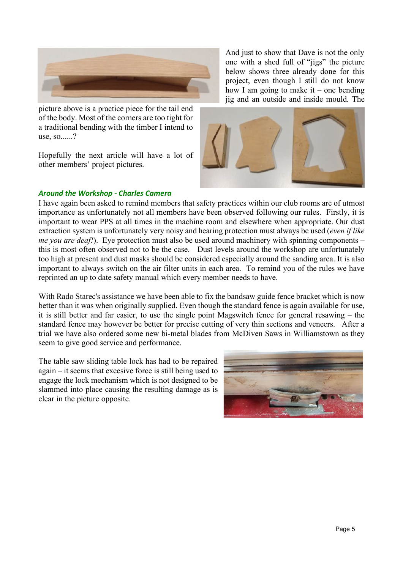

picture above is a practice piece for the tail end of the body. Most of the corners are too tight for a traditional bending with the timber I intend to use, so......?

Hopefully the next article will have a lot of other members' project pictures.

And just to show that Dave is not the only one with a shed full of "jigs" the picture below shows three already done for this project, even though I still do not know how I am going to make it – one bending jig and an outside and inside mould. The



#### *Around the Workshop - Charles Camera*

I have again been asked to remind members that safety practices within our club rooms are of utmost importance as unfortunately not all members have been observed following our rules. Firstly, it is important to wear PPS at all times in the machine room and elsewhere when appropriate. Our dust extraction system is unfortunately very noisy and hearing protection must always be used (*even if like me you are deaf!*). Eye protection must also be used around machinery with spinning components – this is most often observed not to be the case. Dust levels around the workshop are unfortunately too high at present and dust masks should be considered especially around the sanding area. It is also important to always switch on the air filter units in each area. To remind you of the rules we have reprinted an up to date safety manual which every member needs to have.

With Rado Starec's assistance we have been able to fix the bandsaw guide fence bracket which is now better than it was when originally supplied. Even though the standard fence is again available for use, it is still better and far easier, to use the single point Magswitch fence for general resawing – the standard fence may however be better for precise cutting of very thin sections and veneers. After a trial we have also ordered some new bi-metal blades from McDiven Saws in Williamstown as they seem to give good service and performance.

The table saw sliding table lock has had to be repaired again – it seems that excesive force is still being used to engage the lock mechanism which is not designed to be slammed into place causing the resulting damage as is clear in the picture opposite.

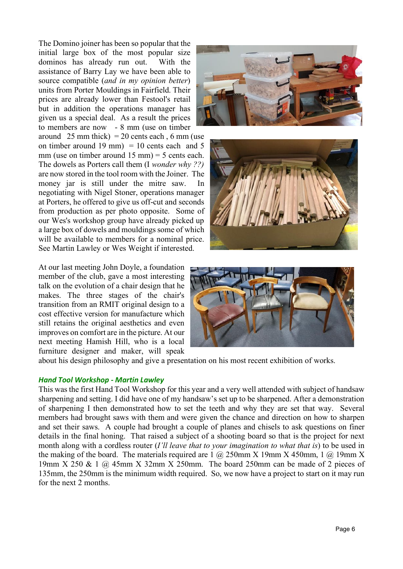The Domino joiner has been so popular that the initial large box of the most popular size dominos has already run out. With the assistance of Barry Lay we have been able to source compatible (*and in my opinion better*) units from Porter Mouldings in Fairfield. Their prices are already lower than Festool's retail but in addition the operations manager has given us a special deal. As a result the prices to members are now - 8 mm (use on timber around  $25 \text{ mm thick)} = 20 \text{ cents each}$ , 6 mm (use on timber around 19 mm)  $= 10$  cents each and 5 mm (use on timber around  $15 \text{ mm}$ ) = 5 cents each. The dowels as Porters call them (I *wonder why ??)* are now stored in the tool room with the Joiner. The money jar is still under the mitre saw. In negotiating with Nigel Stoner, operations manager at Porters, he offered to give us off-cut and seconds from production as per photo opposite. Some of our Wes's workshop group have already picked up a large box of dowels and mouldings some of which will be available to members for a nominal price. See Martin Lawley or Wes Weight if interested.

At our last meeting John Doyle, a foundation member of the club, gave a most interesting talk on the evolution of a chair design that he makes. The three stages of the chair's transition from an RMIT original design to a cost effective version for manufacture which still retains the original aesthetics and even improves on comfort are in the picture. At our next meeting Hamish Hill, who is a local furniture designer and maker, will speak







about his design philosophy and give a presentation on his most recent exhibition of works.

#### *Hand Tool Workshop - Martin Lawley*

This was the first Hand Tool Workshop for this year and a very well attended with subject of handsaw sharpening and setting. I did have one of my handsaw's set up to be sharpened. After a demonstration of sharpening I then demonstrated how to set the teeth and why they are set that way. Several members had brought saws with them and were given the chance and direction on how to sharpen and set their saws. A couple had brought a couple of planes and chisels to ask questions on finer details in the final honing. That raised a subject of a shooting board so that is the project for next month along with a cordless router (*I'll leave that to your imagination to what that is*) to be used in the making of the board. The materials required are  $1 \text{ (a)} 250$  mm X 19mm X 450 mm,  $1 \text{ (a)} 19$  mm X 19mm X 250 & 1 @ 45mm X 32mm X 250mm. The board 250mm can be made of 2 pieces of 135mm, the 250mm is the minimum width required. So, we now have a project to start on it may run for the next 2 months.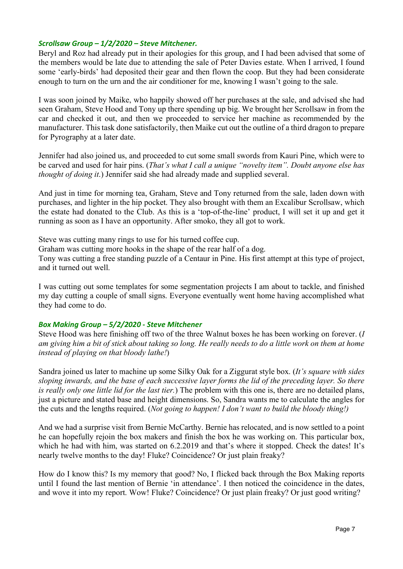## *Scrollsaw Group – 1/2/2020 – Steve Mitchener.*

Beryl and Roz had already put in their apologies for this group, and I had been advised that some of the members would be late due to attending the sale of Peter Davies estate. When I arrived, I found some 'early-birds' had deposited their gear and then flown the coop. But they had been considerate enough to turn on the urn and the air conditioner for me, knowing I wasn't going to the sale.

I was soon joined by Maike, who happily showed off her purchases at the sale, and advised she had seen Graham, Steve Hood and Tony up there spending up big. We brought her Scrollsaw in from the car and checked it out, and then we proceeded to service her machine as recommended by the manufacturer. This task done satisfactorily, then Maike cut out the outline of a third dragon to prepare for Pyrography at a later date.

Jennifer had also joined us, and proceeded to cut some small swords from Kauri Pine, which were to be carved and used for hair pins. (*That's what I call a unique "novelty item". Doubt anyone else has thought of doing it*.) Jennifer said she had already made and supplied several.

And just in time for morning tea, Graham, Steve and Tony returned from the sale, laden down with purchases, and lighter in the hip pocket. They also brought with them an Excalibur Scrollsaw, which the estate had donated to the Club. As this is a 'top-of-the-line' product, I will set it up and get it running as soon as I have an opportunity. After smoko, they all got to work.

Steve was cutting many rings to use for his turned coffee cup.

Graham was cutting more hooks in the shape of the rear half of a dog.

Tony was cutting a free standing puzzle of a Centaur in Pine. His first attempt at this type of project, and it turned out well.

I was cutting out some templates for some segmentation projects I am about to tackle, and finished my day cutting a couple of small signs. Everyone eventually went home having accomplished what they had come to do.

### *Box Making Group – 5/2/2020 - Steve Mitchener*

Steve Hood was here finishing off two of the three Walnut boxes he has been working on forever. (*I am giving him a bit of stick about taking so long. He really needs to do a little work on them at home instead of playing on that bloody lathe!*)

Sandra joined us later to machine up some Silky Oak for a Ziggurat style box. (*It's square with sides sloping inwards, and the base of each successive layer forms the lid of the preceding layer. So there is really only one little lid for the last tier.*) The problem with this one is, there are no detailed plans, just a picture and stated base and height dimensions. So, Sandra wants me to calculate the angles for the cuts and the lengths required. (*Not going to happen! I don't want to build the bloody thing!)*

And we had a surprise visit from Bernie McCarthy. Bernie has relocated, and is now settled to a point he can hopefully rejoin the box makers and finish the box he was working on. This particular box, which he had with him, was started on 6.2.2019 and that's where it stopped. Check the dates! It's nearly twelve months to the day! Fluke? Coincidence? Or just plain freaky?

How do I know this? Is my memory that good? No, I flicked back through the Box Making reports until I found the last mention of Bernie 'in attendance'. I then noticed the coincidence in the dates, and wove it into my report. Wow! Fluke? Coincidence? Or just plain freaky? Or just good writing?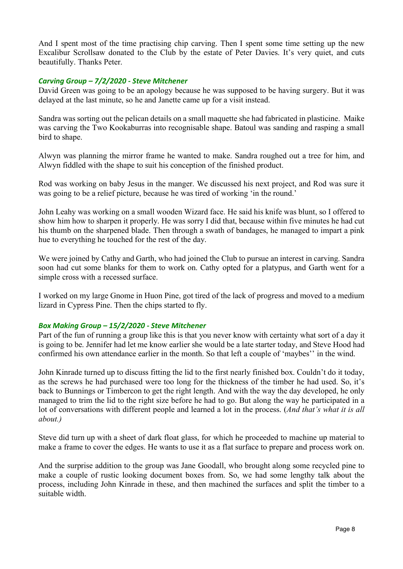And I spent most of the time practising chip carving. Then I spent some time setting up the new Excalibur Scrollsaw donated to the Club by the estate of Peter Davies. It's very quiet, and cuts beautifully. Thanks Peter.

### *Carving Group – 7/2/2020 - Steve Mitchener*

David Green was going to be an apology because he was supposed to be having surgery. But it was delayed at the last minute, so he and Janette came up for a visit instead.

Sandra was sorting out the pelican details on a small maquette she had fabricated in plasticine. Maike was carving the Two Kookaburras into recognisable shape. Batoul was sanding and rasping a small bird to shape.

Alwyn was planning the mirror frame he wanted to make. Sandra roughed out a tree for him, and Alwyn fiddled with the shape to suit his conception of the finished product.

Rod was working on baby Jesus in the manger. We discussed his next project, and Rod was sure it was going to be a relief picture, because he was tired of working 'in the round.'

John Leahy was working on a small wooden Wizard face. He said his knife was blunt, so I offered to show him how to sharpen it properly. He was sorry I did that, because within five minutes he had cut his thumb on the sharpened blade. Then through a swath of bandages, he managed to impart a pink hue to everything he touched for the rest of the day.

We were joined by Cathy and Garth, who had joined the Club to pursue an interest in carving. Sandra soon had cut some blanks for them to work on. Cathy opted for a platypus, and Garth went for a simple cross with a recessed surface.

I worked on my large Gnome in Huon Pine, got tired of the lack of progress and moved to a medium lizard in Cypress Pine. Then the chips started to fly.

#### *Box Making Group – 15/2/2020 - Steve Mitchener*

Part of the fun of running a group like this is that you never know with certainty what sort of a day it is going to be. Jennifer had let me know earlier she would be a late starter today, and Steve Hood had confirmed his own attendance earlier in the month. So that left a couple of 'maybes'' in the wind.

John Kinrade turned up to discuss fitting the lid to the first nearly finished box. Couldn't do it today, as the screws he had purchased were too long for the thickness of the timber he had used. So, it's back to Bunnings or Timbercon to get the right length. And with the way the day developed, he only managed to trim the lid to the right size before he had to go. But along the way he participated in a lot of conversations with different people and learned a lot in the process. (*And that's what it is all about.)*

Steve did turn up with a sheet of dark float glass, for which he proceeded to machine up material to make a frame to cover the edges. He wants to use it as a flat surface to prepare and process work on.

And the surprise addition to the group was Jane Goodall, who brought along some recycled pine to make a couple of rustic looking document boxes from. So, we had some lengthy talk about the process, including John Kinrade in these, and then machined the surfaces and split the timber to a suitable width.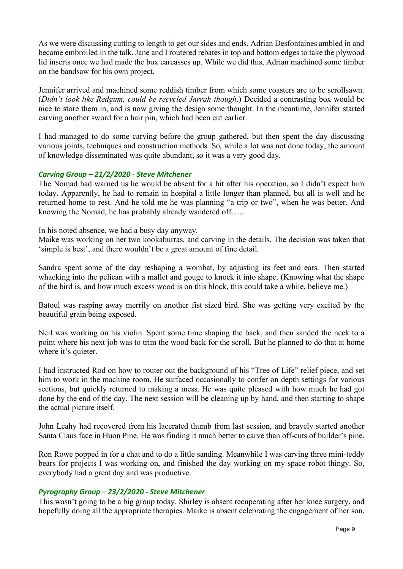As we were discussing cutting to length to get our sides and ends, Adrian Desfontaines ambled in and became embroiled in the talk. Jane and I routered rebates in top and bottom edges to take the plywood lid inserts once we had made the box carcasses up. While we did this, Adrian machined some timber on the bandsaw for his own project.

Jennifer arrived and machined some reddish timber from which some coasters are to be scrollsawn. (*Didn't look like Redgum, could be recycled Jarrah though*.) Decided a contrasting box would be nice to store them in, and is now giving the design some thought. In the meantime, Jennifer started carving another sword for a hair pin, which had been cut earlier.

I had managed to do some carving before the group gathered, but then spent the day discussing various joints, techniques and construction methods. So, while a lot was not done today, the amount of knowledge disseminated was quite abundant, so it was a very good day.

### *Carving Group – 21/2/2020 - Steve Mitchener*

The Nomad had warned us he would be absent for a bit after his operation, so I didn't expect him today. Apparently, he had to remain in hospital a little longer than planned, but all is well and he returned home to rest. And he told me he was planning "a trip or two", when he was better. And knowing the Nomad, he has probably already wandered off…..

In his noted absence, we had a busy day anyway.

Maike was working on her two kookaburras, and carving in the details. The decision was taken that 'simple is best', and there wouldn't be a great amount of fine detail.

Sandra spent some of the day reshaping a wombat, by adjusting its feet and ears. Then started whacking into the pelican with a mallet and gouge to knock it into shape. (Knowing what the shape of the bird is, and how much excess wood is on this block, this could take a while, believe me.)

Batoul was rasping away merrily on another fist sized bird. She was getting very excited by the beautiful grain being exposed.

Neil was working on his violin. Spent some time shaping the back, and then sanded the neck to a point where his next job was to trim the wood back for the scroll. But he planned to do that at home where it's quieter.

I had instructed Rod on how to router out the background of his "Tree of Life" relief piece, and set him to work in the machine room. He surfaced occasionally to confer on depth settings for various sections, but quickly returned to making a mess. He was quite pleased with how much he had got done by the end of the day. The next session will be cleaning up by hand, and then starting to shape the actual picture itself.

John Leahy had recovered from his lacerated thumb from last session, and bravely started another Santa Claus face in Huon Pine. He was finding it much better to carve than off-cuts of builder's pine.

Ron Rowe popped in for a chat and to do a little sanding. Meanwhile I was carving three mini-teddy bears for projects I was working on, and finished the day working on my space robot thingy. So, everybody had a great day and was productive.

### *Pyrography Group – 23/2/2020 - Steve Mitchener*

This wasn't going to be a big group today. Shirley is absent recuperating after her knee surgery, and hopefully doing all the appropriate therapies. Maike is absent celebrating the engagement of her son,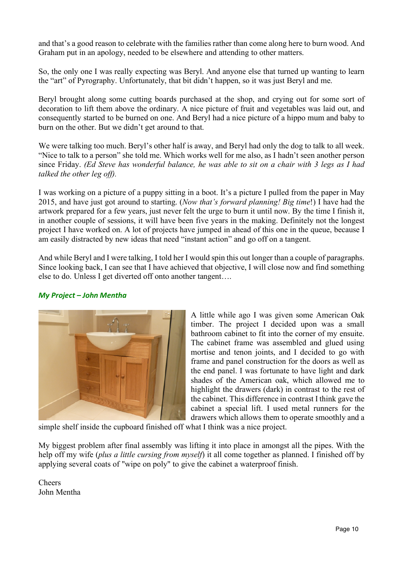and that's a good reason to celebrate with the families rather than come along here to burn wood. And Graham put in an apology, needed to be elsewhere and attending to other matters.

So, the only one I was really expecting was Beryl. And anyone else that turned up wanting to learn the "art" of Pyrography. Unfortunately, that bit didn't happen, so it was just Beryl and me.

Beryl brought along some cutting boards purchased at the shop, and crying out for some sort of decoration to lift them above the ordinary. A nice picture of fruit and vegetables was laid out, and consequently started to be burned on one. And Beryl had a nice picture of a hippo mum and baby to burn on the other. But we didn't get around to that.

We were talking too much. Beryl's other half is away, and Beryl had only the dog to talk to all week. "Nice to talk to a person" she told me. Which works well for me also, as I hadn't seen another person since Friday. *(Ed Steve has wonderful balance, he was able to sit on a chair with 3 legs as I had talked the other leg off).*

I was working on a picture of a puppy sitting in a boot. It's a picture I pulled from the paper in May 2015, and have just got around to starting. (*Now that's forward planning! Big time*!) I have had the artwork prepared for a few years, just never felt the urge to burn it until now. By the time I finish it, in another couple of sessions, it will have been five years in the making. Definitely not the longest project I have worked on. A lot of projects have jumped in ahead of this one in the queue, because I am easily distracted by new ideas that need "instant action" and go off on a tangent.

And while Beryl and I were talking, I told her I would spin this out longer than a couple of paragraphs. Since looking back, I can see that I have achieved that objective, I will close now and find something else to do. Unless I get diverted off onto another tangent….

## *My Project – John Mentha*



A little while ago I was given some American Oak timber. The project I decided upon was a small bathroom cabinet to fit into the corner of my ensuite. The cabinet frame was assembled and glued using mortise and tenon joints, and I decided to go with frame and panel construction for the doors as well as the end panel. I was fortunate to have light and dark shades of the American oak, which allowed me to highlight the drawers (dark) in contrast to the rest of the cabinet. This difference in contrast I think gave the cabinet a special lift. I used metal runners for the drawers which allows them to operate smoothly and a

simple shelf inside the cupboard finished off what I think was a nice project.

My biggest problem after final assembly was lifting it into place in amongst all the pipes. With the help off my wife (*plus a little cursing from myself*) it all come together as planned. I finished off by applying several coats of "wipe on poly" to give the cabinet a waterproof finish.

Cheers John Mentha